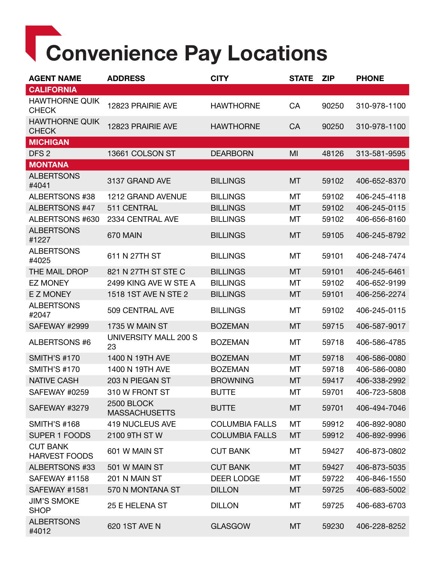## Convenience Pay Locations

| <b>AGENT NAME</b>                       | <b>ADDRESS</b>                            | <b>CITY</b>           | <b>STATE</b> | <b>ZIP</b> | <b>PHONE</b> |
|-----------------------------------------|-------------------------------------------|-----------------------|--------------|------------|--------------|
| <b>CALIFORNIA</b>                       |                                           |                       |              |            |              |
| <b>HAWTHORNE QUIK</b><br><b>CHECK</b>   | 12823 PRAIRIE AVE                         | <b>HAWTHORNE</b>      | CA           | 90250      | 310-978-1100 |
| <b>HAWTHORNE QUIK</b><br><b>CHECK</b>   | 12823 PRAIRIE AVE                         | <b>HAWTHORNE</b>      | CA           | 90250      | 310-978-1100 |
| <b>MICHIGAN</b>                         |                                           |                       |              |            |              |
| DFS <sub>2</sub>                        | 13661 COLSON ST                           | <b>DEARBORN</b>       | MI           | 48126      | 313-581-9595 |
| <b>MONTANA</b>                          |                                           |                       |              |            |              |
| <b>ALBERTSONS</b><br>#4041              | 3137 GRAND AVE                            | <b>BILLINGS</b>       | MT           | 59102      | 406-652-8370 |
| ALBERTSONS #38                          | 1212 GRAND AVENUE                         | <b>BILLINGS</b>       | МT           | 59102      | 406-245-4118 |
| <b>ALBERTSONS #47</b>                   | 511 CENTRAL                               | <b>BILLINGS</b>       | MT           | 59102      | 406-245-0115 |
| ALBERTSONS #630                         | 2334 CENTRAL AVE                          | <b>BILLINGS</b>       | МT           | 59102      | 406-656-8160 |
| <b>ALBERTSONS</b><br>#1227              | 670 MAIN                                  | <b>BILLINGS</b>       | MT           | 59105      | 406-245-8792 |
| <b>ALBERTSONS</b><br>#4025              | 611 N 27TH ST                             | <b>BILLINGS</b>       | МT           | 59101      | 406-248-7474 |
| THE MAIL DROP                           | 821 N 27TH ST STE C                       | <b>BILLINGS</b>       | МT           | 59101      | 406-245-6461 |
| <b>EZ MONEY</b>                         | 2499 KING AVE W STE A                     | <b>BILLINGS</b>       | МT           | 59102      | 406-652-9199 |
| <b>EZ MONEY</b>                         | 1518 1ST AVE N STE 2                      | <b>BILLINGS</b>       | MT           | 59101      | 406-256-2274 |
| <b>ALBERTSONS</b><br>#2047              | 509 CENTRAL AVE                           | <b>BILLINGS</b>       | MT           | 59102      | 406-245-0115 |
| SAFEWAY #2999                           | 1735 W MAIN ST                            | <b>BOZEMAN</b>        | MT           | 59715      | 406-587-9017 |
| ALBERTSONS #6                           | UNIVERSITY MALL 200 S<br>23               | <b>BOZEMAN</b>        | МT           | 59718      | 406-586-4785 |
| <b>SMITH'S #170</b>                     | 1400 N 19TH AVE                           | <b>BOZEMAN</b>        | МT           | 59718      | 406-586-0080 |
| <b>SMITH'S #170</b>                     | 1400 N 19TH AVE                           | <b>BOZEMAN</b>        | МT           | 59718      | 406-586-0080 |
| <b>NATIVE CASH</b>                      | 203 N PIEGAN ST                           | <b>BROWNING</b>       | MT           | 59417      | 406-338-2992 |
| SAFEWAY #0259                           | 310 W FRONT ST                            | <b>BUTTE</b>          | MT           | 59701      | 406-723-5808 |
| SAFEWAY #3279                           | <b>2500 BLOCK</b><br><b>MASSACHUSETTS</b> | <b>BUTTE</b>          | MT           | 59701      | 406-494-7046 |
| <b>SMITH'S #168</b>                     | <b>419 NUCLEUS AVE</b>                    | <b>COLUMBIA FALLS</b> | MT           | 59912      | 406-892-9080 |
| <b>SUPER 1 FOODS</b>                    | 2100 9TH ST W                             | <b>COLUMBIA FALLS</b> | MT           | 59912      | 406-892-9996 |
| <b>CUT BANK</b><br><b>HARVEST FOODS</b> | 601 W MAIN ST                             | <b>CUT BANK</b>       | MT           | 59427      | 406-873-0802 |
| ALBERTSONS #33                          | 501 W MAIN ST                             | <b>CUT BANK</b>       | MT           | 59427      | 406-873-5035 |
| SAFEWAY #1158                           | 201 N MAIN ST                             | <b>DEER LODGE</b>     | МT           | 59722      | 406-846-1550 |
| SAFEWAY #1581                           | 570 N MONTANA ST                          | <b>DILLON</b>         | МT           | 59725      | 406-683-5002 |
| <b>JIM'S SMOKE</b><br><b>SHOP</b>       | 25 E HELENA ST                            | <b>DILLON</b>         | MT           | 59725      | 406-683-6703 |
| <b>ALBERTSONS</b><br>#4012              | 620 1ST AVE N                             | <b>GLASGOW</b>        | MT           | 59230      | 406-228-8252 |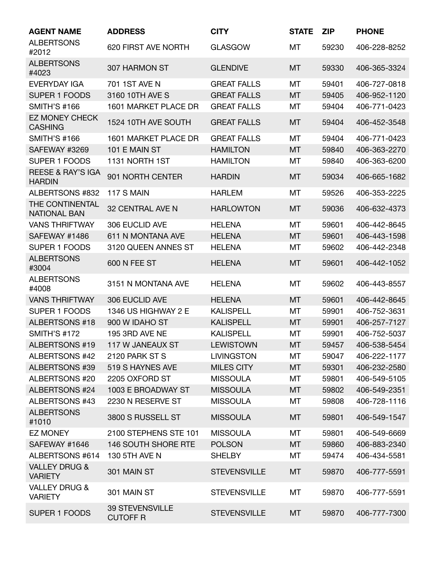| <b>AGENT NAME</b>                             | <b>ADDRESS</b>                            | <b>CITY</b>         | <b>STATE</b> | <b>ZIP</b> | <b>PHONE</b> |
|-----------------------------------------------|-------------------------------------------|---------------------|--------------|------------|--------------|
| <b>ALBERTSONS</b><br>#2012                    | 620 FIRST AVE NORTH                       | <b>GLASGOW</b>      | МT           | 59230      | 406-228-8252 |
| <b>ALBERTSONS</b><br>#4023                    | 307 HARMON ST                             | <b>GLENDIVE</b>     | <b>MT</b>    | 59330      | 406-365-3324 |
| <b>EVERYDAY IGA</b>                           | 701 1ST AVE N                             | <b>GREAT FALLS</b>  | MT           | 59401      | 406-727-0818 |
| <b>SUPER 1 FOODS</b>                          | 3160 10TH AVE S                           | <b>GREAT FALLS</b>  | MT           | 59405      | 406-952-1120 |
| <b>SMITH'S #166</b>                           | 1601 MARKET PLACE DR                      | <b>GREAT FALLS</b>  | MT           | 59404      | 406-771-0423 |
| <b>EZ MONEY CHECK</b><br><b>CASHING</b>       | 1524 10TH AVE SOUTH                       | <b>GREAT FALLS</b>  | MT           | 59404      | 406-452-3548 |
| <b>SMITH'S #166</b>                           | 1601 MARKET PLACE DR                      | <b>GREAT FALLS</b>  | MT           | 59404      | 406-771-0423 |
| SAFEWAY #3269                                 | 101 E MAIN ST                             | <b>HAMILTON</b>     | MT           | 59840      | 406-363-2270 |
| SUPER 1 FOODS                                 | 1131 NORTH 1ST                            | <b>HAMILTON</b>     | МT           | 59840      | 406-363-6200 |
| <b>REESE &amp; RAY'S IGA</b><br><b>HARDIN</b> | 901 NORTH CENTER                          | <b>HARDIN</b>       | MT           | 59034      | 406-665-1682 |
| ALBERTSONS #832                               | 117 S MAIN                                | <b>HARLEM</b>       | MT           | 59526      | 406-353-2225 |
| THE CONTINENTAL<br><b>NATIONAL BAN</b>        | <b>32 CENTRAL AVE N</b>                   | <b>HARLOWTON</b>    | MT           | 59036      | 406-632-4373 |
| <b>VANS THRIFTWAY</b>                         | 306 EUCLID AVE                            | <b>HELENA</b>       | MT           | 59601      | 406-442-8645 |
| SAFEWAY #1486                                 | 611 N MONTANA AVE                         | <b>HELENA</b>       | MT           | 59601      | 406-443-1598 |
| <b>SUPER 1 FOODS</b>                          | 3120 QUEEN ANNES ST                       | <b>HELENA</b>       | MT           | 59602      | 406-442-2348 |
| <b>ALBERTSONS</b><br>#3004                    | 600 N FEE ST                              | <b>HELENA</b>       | <b>MT</b>    | 59601      | 406-442-1052 |
| <b>ALBERTSONS</b><br>#4008                    | 3151 N MONTANA AVE                        | <b>HELENA</b>       | МT           | 59602      | 406-443-8557 |
| <b>VANS THRIFTWAY</b>                         | 306 EUCLID AVE                            | <b>HELENA</b>       | <b>MT</b>    | 59601      | 406-442-8645 |
| <b>SUPER 1 FOODS</b>                          | 1346 US HIGHWAY 2 E                       | <b>KALISPELL</b>    | MT           | 59901      | 406-752-3631 |
| ALBERTSONS #18                                | 900 W IDAHO ST                            | <b>KALISPELL</b>    | MT           | 59901      | 406-257-7127 |
| <b>SMITH'S #172</b>                           | <b>195 3RD AVE NE</b>                     | <b>KALISPELL</b>    | МT           | 59901      | 406-752-5037 |
| <b>ALBERTSONS #19</b>                         | 117 W JANEAUX ST                          | <b>LEWISTOWN</b>    | MT           | 59457      | 406-538-5454 |
| ALBERTSONS #42                                | 2120 PARK ST S                            | <b>LIVINGSTON</b>   | МT           | 59047      | 406-222-1177 |
| ALBERTSONS #39                                | 519 S HAYNES AVE                          | <b>MILES CITY</b>   | MT           | 59301      | 406-232-2580 |
| ALBERTSONS #20                                | 2205 OXFORD ST                            | <b>MISSOULA</b>     | МT           | 59801      | 406-549-5105 |
| <b>ALBERTSONS #24</b>                         | 1003 E BROADWAY ST                        | <b>MISSOULA</b>     | MT           | 59802      | 406-549-2351 |
| ALBERTSONS #43                                | 2230 N RESERVE ST                         | <b>MISSOULA</b>     | МT           | 59808      | 406-728-1116 |
| <b>ALBERTSONS</b><br>#1010                    | 3800 S RUSSELL ST                         | <b>MISSOULA</b>     | MT           | 59801      | 406-549-1547 |
| <b>EZ MONEY</b>                               | 2100 STEPHENS STE 101                     | <b>MISSOULA</b>     | МT           | 59801      | 406-549-6669 |
| SAFEWAY #1646                                 | 146 SOUTH SHORE RTE                       | <b>POLSON</b>       | MT           | 59860      | 406-883-2340 |
| ALBERTSONS #614                               | 130 5TH AVE N                             | <b>SHELBY</b>       | MT           | 59474      | 406-434-5581 |
| <b>VALLEY DRUG &amp;</b><br><b>VARIETY</b>    | 301 MAIN ST                               | <b>STEVENSVILLE</b> | MT           | 59870      | 406-777-5591 |
| <b>VALLEY DRUG &amp;</b><br><b>VARIETY</b>    | 301 MAIN ST                               | <b>STEVENSVILLE</b> | МT           | 59870      | 406-777-5591 |
| <b>SUPER 1 FOODS</b>                          | <b>39 STEVENSVILLE</b><br><b>CUTOFF R</b> | <b>STEVENSVILLE</b> | MT           | 59870      | 406-777-7300 |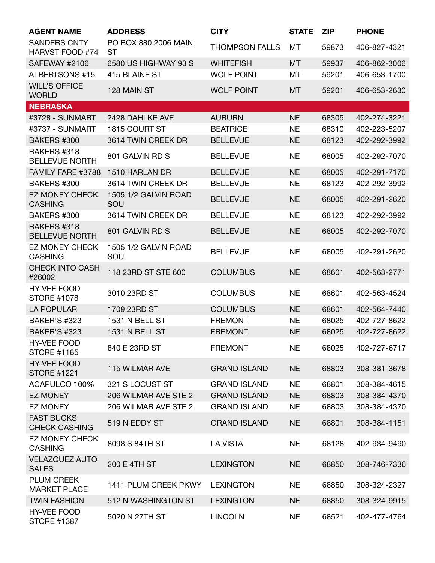| <b>AGENT NAME</b>                             | <b>ADDRESS</b>                    | <b>CITY</b>           | <b>STATE</b> | <b>ZIP</b> | <b>PHONE</b> |
|-----------------------------------------------|-----------------------------------|-----------------------|--------------|------------|--------------|
| <b>SANDERS CNTY</b><br><b>HARVST FOOD #74</b> | PO BOX 880 2006 MAIN<br><b>ST</b> | <b>THOMPSON FALLS</b> | MT           | 59873      | 406-827-4321 |
| SAFEWAY #2106                                 | 6580 US HIGHWAY 93 S              | <b>WHITEFISH</b>      | <b>MT</b>    | 59937      | 406-862-3006 |
| <b>ALBERTSONS #15</b>                         | 415 BLAINE ST                     | <b>WOLF POINT</b>     | MT           | 59201      | 406-653-1700 |
| <b>WILL'S OFFICE</b><br><b>WORLD</b>          | 128 MAIN ST                       | <b>WOLF POINT</b>     | MT           | 59201      | 406-653-2630 |
| <b>NEBRASKA</b>                               |                                   |                       |              |            |              |
| #3728 - SUNMART                               | 2428 DAHLKE AVE                   | <b>AUBURN</b>         | <b>NE</b>    | 68305      | 402-274-3221 |
| #3737 - SUNMART                               | 1815 COURT ST                     | <b>BEATRICE</b>       | <b>NE</b>    | 68310      | 402-223-5207 |
| BAKERS #300                                   | 3614 TWIN CREEK DR                | <b>BELLEVUE</b>       | <b>NE</b>    | 68123      | 402-292-3992 |
| BAKERS #318<br><b>BELLEVUE NORTH</b>          | 801 GALVIN RD S                   | <b>BELLEVUE</b>       | <b>NE</b>    | 68005      | 402-292-7070 |
| FAMILY FARE #3788                             | 1510 HARLAN DR                    | <b>BELLEVUE</b>       | <b>NE</b>    | 68005      | 402-291-7170 |
| BAKERS #300                                   | 3614 TWIN CREEK DR                | <b>BELLEVUE</b>       | <b>NE</b>    | 68123      | 402-292-3992 |
| <b>EZ MONEY CHECK</b><br><b>CASHING</b>       | 1505 1/2 GALVIN ROAD<br>SOU       | <b>BELLEVUE</b>       | <b>NE</b>    | 68005      | 402-291-2620 |
| BAKERS #300                                   | 3614 TWIN CREEK DR                | <b>BELLEVUE</b>       | <b>NE</b>    | 68123      | 402-292-3992 |
| BAKERS #318<br><b>BELLEVUE NORTH</b>          | 801 GALVIN RD S                   | <b>BELLEVUE</b>       | <b>NE</b>    | 68005      | 402-292-7070 |
| <b>EZ MONEY CHECK</b><br><b>CASHING</b>       | 1505 1/2 GALVIN ROAD<br>SOU       | <b>BELLEVUE</b>       | <b>NE</b>    | 68005      | 402-291-2620 |
| <b>CHECK INTO CASH</b><br>#26002              | 118 23RD ST STE 600               | <b>COLUMBUS</b>       | <b>NE</b>    | 68601      | 402-563-2771 |
| <b>HY-VEE FOOD</b><br><b>STORE #1078</b>      | 3010 23RD ST                      | <b>COLUMBUS</b>       | <b>NE</b>    | 68601      | 402-563-4524 |
| <b>LA POPULAR</b>                             | 1709 23RD ST                      | <b>COLUMBUS</b>       | <b>NE</b>    | 68601      | 402-564-7440 |
| <b>BAKER'S #323</b>                           | 1531 N BELL ST                    | <b>FREMONT</b>        | <b>NE</b>    | 68025      | 402-727-8622 |
| <b>BAKER'S #323</b>                           | 1531 N BELL ST                    | <b>FREMONT</b>        | <b>NE</b>    | 68025      | 402-727-8622 |
| HY-VEE FOOD<br><b>STORE #1185</b>             | 840 E 23RD ST                     | <b>FREMONT</b>        | <b>NE</b>    | 68025      | 402-727-6717 |
| <b>HY-VEE FOOD</b><br><b>STORE #1221</b>      | 115 WILMAR AVE                    | <b>GRAND ISLAND</b>   | <b>NE</b>    | 68803      | 308-381-3678 |
| ACAPULCO 100%                                 | 321 S LOCUST ST                   | <b>GRAND ISLAND</b>   | <b>NE</b>    | 68801      | 308-384-4615 |
| <b>EZ MONEY</b>                               | 206 WILMAR AVE STE 2              | <b>GRAND ISLAND</b>   | <b>NE</b>    | 68803      | 308-384-4370 |
| <b>EZ MONEY</b>                               | 206 WILMAR AVE STE 2              | <b>GRAND ISLAND</b>   | <b>NE</b>    | 68803      | 308-384-4370 |
| <b>FAST BUCKS</b><br><b>CHECK CASHING</b>     | 519 N EDDY ST                     | <b>GRAND ISLAND</b>   | <b>NE</b>    | 68801      | 308-384-1151 |
| <b>EZ MONEY CHECK</b><br><b>CASHING</b>       | 8098 S 84TH ST                    | <b>LA VISTA</b>       | <b>NE</b>    | 68128      | 402-934-9490 |
| <b>VELAZQUEZ AUTO</b><br><b>SALES</b>         | 200 E 4TH ST                      | <b>LEXINGTON</b>      | <b>NE</b>    | 68850      | 308-746-7336 |
| <b>PLUM CREEK</b><br><b>MARKET PLACE</b>      | 1411 PLUM CREEK PKWY              | <b>LEXINGTON</b>      | <b>NE</b>    | 68850      | 308-324-2327 |
| <b>TWIN FASHION</b>                           | 512 N WASHINGTON ST               | <b>LEXINGTON</b>      | <b>NE</b>    | 68850      | 308-324-9915 |
| <b>HY-VEE FOOD</b><br><b>STORE #1387</b>      | 5020 N 27TH ST                    | <b>LINCOLN</b>        | <b>NE</b>    | 68521      | 402-477-4764 |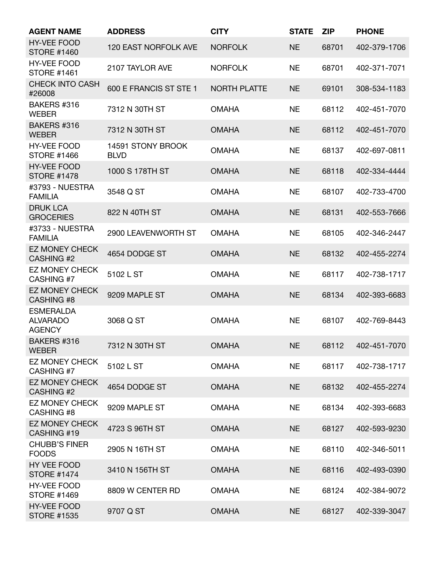| <b>AGENT NAME</b>                                    | <b>ADDRESS</b>                   | <b>CITY</b>         | <b>STATE</b> | <b>ZIP</b> | <b>PHONE</b> |
|------------------------------------------------------|----------------------------------|---------------------|--------------|------------|--------------|
| <b>HY-VEE FOOD</b><br><b>STORE #1460</b>             | 120 EAST NORFOLK AVE             | <b>NORFOLK</b>      | <b>NE</b>    | 68701      | 402-379-1706 |
| <b>HY-VEE FOOD</b><br><b>STORE #1461</b>             | 2107 TAYLOR AVE                  | <b>NORFOLK</b>      | <b>NE</b>    | 68701      | 402-371-7071 |
| <b>CHECK INTO CASH</b><br>#26008                     | 600 E FRANCIS ST STE 1           | <b>NORTH PLATTE</b> | <b>NE</b>    | 69101      | 308-534-1183 |
| BAKERS #316<br><b>WEBER</b>                          | 7312 N 30TH ST                   | <b>OMAHA</b>        | <b>NE</b>    | 68112      | 402-451-7070 |
| BAKERS #316<br><b>WEBER</b>                          | 7312 N 30TH ST                   | <b>OMAHA</b>        | <b>NE</b>    | 68112      | 402-451-7070 |
| <b>HY-VEE FOOD</b><br><b>STORE #1466</b>             | 14591 STONY BROOK<br><b>BLVD</b> | <b>OMAHA</b>        | <b>NE</b>    | 68137      | 402-697-0811 |
| <b>HY-VEE FOOD</b><br><b>STORE #1478</b>             | 1000 S 178TH ST                  | <b>OMAHA</b>        | <b>NE</b>    | 68118      | 402-334-4444 |
| #3793 - NUESTRA<br><b>FAMILIA</b>                    | 3548 Q ST                        | <b>OMAHA</b>        | <b>NE</b>    | 68107      | 402-733-4700 |
| <b>DRUK LCA</b><br><b>GROCERIES</b>                  | 822 N 40TH ST                    | <b>OMAHA</b>        | <b>NE</b>    | 68131      | 402-553-7666 |
| #3733 - NUESTRA<br><b>FAMILIA</b>                    | 2900 LEAVENWORTH ST              | <b>OMAHA</b>        | <b>NE</b>    | 68105      | 402-346-2447 |
| <b>EZ MONEY CHECK</b><br><b>CASHING #2</b>           | 4654 DODGE ST                    | <b>OMAHA</b>        | <b>NE</b>    | 68132      | 402-455-2274 |
| <b>EZ MONEY CHECK</b><br>CASHING #7                  | 5102 L ST                        | <b>OMAHA</b>        | <b>NE</b>    | 68117      | 402-738-1717 |
| <b>EZ MONEY CHECK</b><br><b>CASHING #8</b>           | 9209 MAPLE ST                    | <b>OMAHA</b>        | <b>NE</b>    | 68134      | 402-393-6683 |
| <b>ESMERALDA</b><br><b>ALVARADO</b><br><b>AGENCY</b> | 3068 Q ST                        | <b>OMAHA</b>        | <b>NE</b>    | 68107      | 402-769-8443 |
| BAKERS #316<br><b>WEBER</b>                          | 7312 N 30TH ST                   | <b>OMAHA</b>        | <b>NE</b>    | 68112      | 402-451-7070 |
| <b>EZ MONEY CHECK</b><br>CASHING #7                  | 5102 L ST                        | <b>OMAHA</b>        | <b>NE</b>    | 68117      | 402-738-1717 |
| <b>EZ MONEY CHECK</b><br><b>CASHING #2</b>           | 4654 DODGE ST                    | <b>OMAHA</b>        | <b>NE</b>    | 68132      | 402-455-2274 |
| <b>EZ MONEY CHECK</b><br>CASHING #8                  | 9209 MAPLE ST                    | <b>OMAHA</b>        | <b>NE</b>    | 68134      | 402-393-6683 |
| <b>EZ MONEY CHECK</b><br>CASHING #19                 | 4723 S 96TH ST                   | <b>OMAHA</b>        | <b>NE</b>    | 68127      | 402-593-9230 |
| <b>CHUBB'S FINER</b><br><b>FOODS</b>                 | 2905 N 16TH ST                   | <b>OMAHA</b>        | <b>NE</b>    | 68110      | 402-346-5011 |
| <b>HY VEE FOOD</b><br><b>STORE #1474</b>             | 3410 N 156TH ST                  | <b>OMAHA</b>        | <b>NE</b>    | 68116      | 402-493-0390 |
| <b>HY-VEE FOOD</b><br><b>STORE #1469</b>             | 8809 W CENTER RD                 | <b>OMAHA</b>        | <b>NE</b>    | 68124      | 402-384-9072 |
| <b>HY-VEE FOOD</b><br><b>STORE #1535</b>             | 9707 Q ST                        | <b>OMAHA</b>        | <b>NE</b>    | 68127      | 402-339-3047 |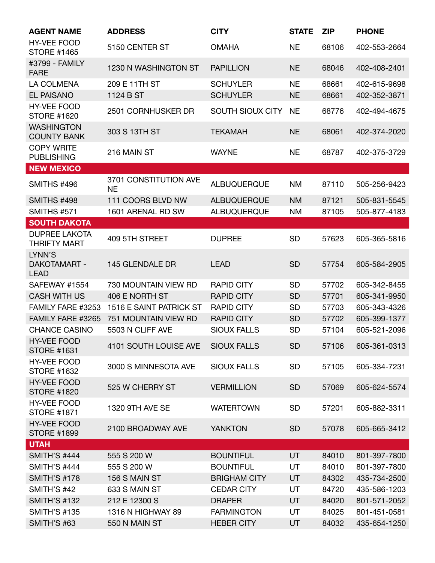| <b>AGENT NAME</b>                            | <b>ADDRESS</b>                     | <b>CITY</b>         | <b>STATE</b> | <b>ZIP</b> | <b>PHONE</b> |
|----------------------------------------------|------------------------------------|---------------------|--------------|------------|--------------|
| <b>HY-VEE FOOD</b><br><b>STORE #1465</b>     | 5150 CENTER ST                     | <b>OMAHA</b>        | <b>NE</b>    | 68106      | 402-553-2664 |
| #3799 - FAMILY<br><b>FARE</b>                | 1230 N WASHINGTON ST               | <b>PAPILLION</b>    | <b>NE</b>    | 68046      | 402-408-2401 |
| LA COLMENA                                   | 209 E 11TH ST                      | <b>SCHUYLER</b>     | <b>NE</b>    | 68661      | 402-615-9698 |
| <b>EL PAISANO</b>                            | 1124 B ST                          | <b>SCHUYLER</b>     | <b>NE</b>    | 68661      | 402-352-3871 |
| <b>HY-VEE FOOD</b><br><b>STORE #1620</b>     | 2501 CORNHUSKER DR                 | SOUTH SIOUX CITY    | <b>NE</b>    | 68776      | 402-494-4675 |
| <b>WASHINGTON</b><br><b>COUNTY BANK</b>      | 303 S 13TH ST                      | <b>TEKAMAH</b>      | <b>NE</b>    | 68061      | 402-374-2020 |
| <b>COPY WRITE</b><br><b>PUBLISHING</b>       | 216 MAIN ST                        | <b>WAYNE</b>        | <b>NE</b>    | 68787      | 402-375-3729 |
| <b>NEW MEXICO</b>                            |                                    |                     |              |            |              |
| SMITHS #496                                  | 3701 CONSTITUTION AVE<br><b>NE</b> | <b>ALBUQUERQUE</b>  | <b>NM</b>    | 87110      | 505-256-9423 |
| <b>SMITHS #498</b>                           | 111 COORS BLVD NW                  | <b>ALBUQUERQUE</b>  | <b>NM</b>    | 87121      | 505-831-5545 |
| <b>SMITHS #571</b>                           | 1601 ARENAL RD SW                  | <b>ALBUQUERQUE</b>  | <b>NM</b>    | 87105      | 505-877-4183 |
| <b>SOUTH DAKOTA</b>                          |                                    |                     |              |            |              |
| <b>DUPREE LAKOTA</b><br><b>THRIFTY MART</b>  | 409 5TH STREET                     | <b>DUPREE</b>       | <b>SD</b>    | 57623      | 605-365-5816 |
| LYNN'S<br><b>DAKOTAMART -</b><br><b>LEAD</b> | 145 GLENDALE DR                    | <b>LEAD</b>         | <b>SD</b>    | 57754      | 605-584-2905 |
| SAFEWAY #1554                                | 730 MOUNTAIN VIEW RD               | <b>RAPID CITY</b>   | <b>SD</b>    | 57702      | 605-342-8455 |
| <b>CASH WITH US</b>                          | 406 E NORTH ST                     | <b>RAPID CITY</b>   | <b>SD</b>    | 57701      | 605-341-9950 |
| FAMILY FARE #3253                            | 1516 E SAINT PATRICK ST            | <b>RAPID CITY</b>   | <b>SD</b>    | 57703      | 605-343-4326 |
| FAMILY FARE #3265                            | 751 MOUNTAIN VIEW RD               | <b>RAPID CITY</b>   | <b>SD</b>    | 57702      | 605-399-1377 |
| <b>CHANCE CASINO</b>                         | 5503 N CLIFF AVE                   | <b>SIOUX FALLS</b>  | <b>SD</b>    | 57104      | 605-521-2096 |
| <b>HY-VEE FOOD</b><br><b>STORE #1631</b>     | 4101 SOUTH LOUISE AVE              | <b>SIOUX FALLS</b>  | <b>SD</b>    | 57106      | 605-361-0313 |
| <b>HY-VEE FOOD</b><br><b>STORE #1632</b>     | 3000 S MINNESOTA AVE               | <b>SIOUX FALLS</b>  | <b>SD</b>    | 57105      | 605-334-7231 |
| <b>HY-VEE FOOD</b><br><b>STORE #1820</b>     | 525 W CHERRY ST                    | <b>VERMILLION</b>   | <b>SD</b>    | 57069      | 605-624-5574 |
| <b>HY-VEE FOOD</b><br><b>STORE #1871</b>     | <b>1320 9TH AVE SE</b>             | <b>WATERTOWN</b>    | <b>SD</b>    | 57201      | 605-882-3311 |
| <b>HY-VEE FOOD</b><br><b>STORE #1899</b>     | 2100 BROADWAY AVE                  | <b>YANKTON</b>      | <b>SD</b>    | 57078      | 605-665-3412 |
| <b>UTAH</b>                                  |                                    |                     |              |            |              |
| <b>SMITH'S #444</b>                          | 555 S 200 W                        | <b>BOUNTIFUL</b>    | <b>UT</b>    | 84010      | 801-397-7800 |
| <b>SMITH'S #444</b>                          | 555 S 200 W                        | <b>BOUNTIFUL</b>    | UT           | 84010      | 801-397-7800 |
| <b>SMITH'S #178</b>                          | 156 S MAIN ST                      | <b>BRIGHAM CITY</b> | UT           | 84302      | 435-734-2500 |
| <b>SMITH'S #42</b>                           | 633 S MAIN ST                      | <b>CEDAR CITY</b>   | UT           | 84720      | 435-586-1203 |
| <b>SMITH'S #132</b>                          | 212 E 12300 S                      | <b>DRAPER</b>       | UT           | 84020      | 801-571-2052 |
| <b>SMITH'S #135</b>                          | 1316 N HIGHWAY 89                  | <b>FARMINGTON</b>   | UT           | 84025      | 801-451-0581 |
| <b>SMITH'S #63</b>                           | 550 N MAIN ST                      | <b>HEBER CITY</b>   | UT           | 84032      | 435-654-1250 |